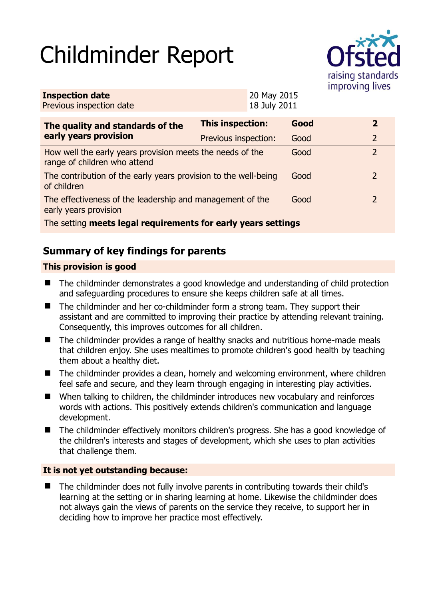# Childminder Report



| <b>Inspection date</b>   | 20 May 2015  |
|--------------------------|--------------|
| Previous inspection date | 18 July 2011 |

| The quality and standards of the<br>early years provision                                 | <b>This inspection:</b> | Good | $\overline{\mathbf{2}}$ |
|-------------------------------------------------------------------------------------------|-------------------------|------|-------------------------|
|                                                                                           | Previous inspection:    | Good | $\overline{2}$          |
| How well the early years provision meets the needs of the<br>range of children who attend |                         | Good | 2                       |
| The contribution of the early years provision to the well-being<br>of children            |                         | Good | $\overline{2}$          |
| The effectiveness of the leadership and management of the<br>early years provision        |                         | Good | $\mathcal{L}$           |
| The setting meets legal requirements for early years settings                             |                         |      |                         |

# **Summary of key findings for parents**

## **This provision is good**

- The childminder demonstrates a good knowledge and understanding of child protection and safeguarding procedures to ensure she keeps children safe at all times.
- The childminder and her co-childminder form a strong team. They support their assistant and are committed to improving their practice by attending relevant training. Consequently, this improves outcomes for all children.
- The childminder provides a range of healthy snacks and nutritious home-made meals that children enjoy. She uses mealtimes to promote children's good health by teaching them about a healthy diet.
- The childminder provides a clean, homely and welcoming environment, where children feel safe and secure, and they learn through engaging in interesting play activities.
- When talking to children, the childminder introduces new vocabulary and reinforces words with actions. This positively extends children's communication and language development.
- The childminder effectively monitors children's progress. She has a good knowledge of the children's interests and stages of development, which she uses to plan activities that challenge them.

### **It is not yet outstanding because:**

 The childminder does not fully involve parents in contributing towards their child's learning at the setting or in sharing learning at home. Likewise the childminder does not always gain the views of parents on the service they receive, to support her in deciding how to improve her practice most effectively.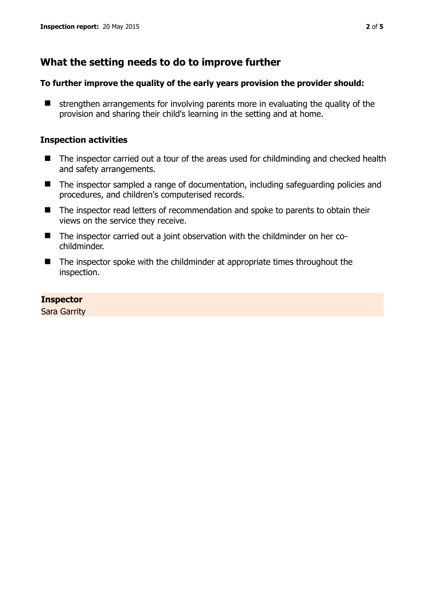## **What the setting needs to do to improve further**

#### **To further improve the quality of the early years provision the provider should:**

 $\blacksquare$  strengthen arrangements for involving parents more in evaluating the quality of the provision and sharing their child's learning in the setting and at home.

#### **Inspection activities**

- The inspector carried out a tour of the areas used for childminding and checked health and safety arrangements.
- The inspector sampled a range of documentation, including safeguarding policies and procedures, and children's computerised records.
- The inspector read letters of recommendation and spoke to parents to obtain their views on the service they receive.
- The inspector carried out a joint observation with the childminder on her cochildminder.
- The inspector spoke with the childminder at appropriate times throughout the inspection.

#### **Inspector**

Sara Garrity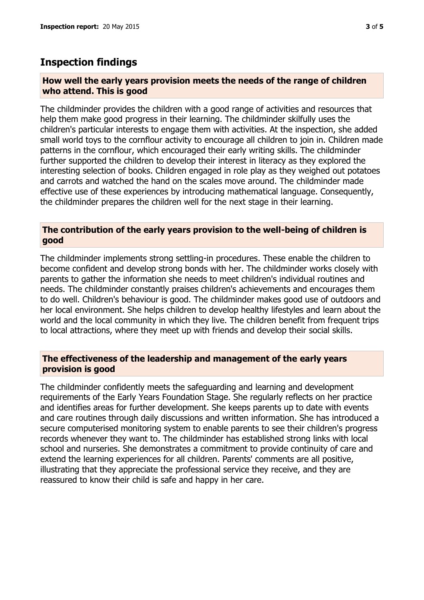## **Inspection findings**

#### **How well the early years provision meets the needs of the range of children who attend. This is good**

The childminder provides the children with a good range of activities and resources that help them make good progress in their learning. The childminder skilfully uses the children's particular interests to engage them with activities. At the inspection, she added small world toys to the cornflour activity to encourage all children to join in. Children made patterns in the cornflour, which encouraged their early writing skills. The childminder further supported the children to develop their interest in literacy as they explored the interesting selection of books. Children engaged in role play as they weighed out potatoes and carrots and watched the hand on the scales move around. The childminder made effective use of these experiences by introducing mathematical language. Consequently, the childminder prepares the children well for the next stage in their learning.

#### **The contribution of the early years provision to the well-being of children is good**

The childminder implements strong settling-in procedures. These enable the children to become confident and develop strong bonds with her. The childminder works closely with parents to gather the information she needs to meet children's individual routines and needs. The childminder constantly praises children's achievements and encourages them to do well. Children's behaviour is good. The childminder makes good use of outdoors and her local environment. She helps children to develop healthy lifestyles and learn about the world and the local community in which they live. The children benefit from frequent trips to local attractions, where they meet up with friends and develop their social skills.

#### **The effectiveness of the leadership and management of the early years provision is good**

The childminder confidently meets the safeguarding and learning and development requirements of the Early Years Foundation Stage. She regularly reflects on her practice and identifies areas for further development. She keeps parents up to date with events and care routines through daily discussions and written information. She has introduced a secure computerised monitoring system to enable parents to see their children's progress records whenever they want to. The childminder has established strong links with local school and nurseries. She demonstrates a commitment to provide continuity of care and extend the learning experiences for all children. Parents' comments are all positive, illustrating that they appreciate the professional service they receive, and they are reassured to know their child is safe and happy in her care.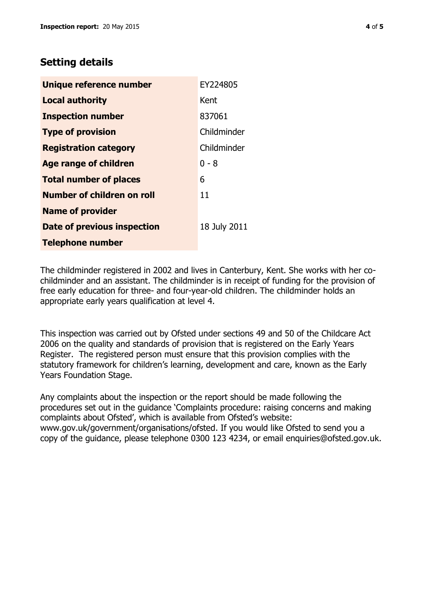# **Setting details**

| Unique reference number       | EY224805     |
|-------------------------------|--------------|
| <b>Local authority</b>        | Kent         |
| <b>Inspection number</b>      | 837061       |
| <b>Type of provision</b>      | Childminder  |
| <b>Registration category</b>  | Childminder  |
| <b>Age range of children</b>  | $0 - 8$      |
| <b>Total number of places</b> | 6            |
| Number of children on roll    | 11           |
| <b>Name of provider</b>       |              |
| Date of previous inspection   | 18 July 2011 |
| <b>Telephone number</b>       |              |

The childminder registered in 2002 and lives in Canterbury, Kent. She works with her cochildminder and an assistant. The childminder is in receipt of funding for the provision of free early education for three- and four-year-old children. The childminder holds an appropriate early years qualification at level 4.

This inspection was carried out by Ofsted under sections 49 and 50 of the Childcare Act 2006 on the quality and standards of provision that is registered on the Early Years Register. The registered person must ensure that this provision complies with the statutory framework for children's learning, development and care, known as the Early Years Foundation Stage.

Any complaints about the inspection or the report should be made following the procedures set out in the guidance 'Complaints procedure: raising concerns and making complaints about Ofsted', which is available from Ofsted's website: www.gov.uk/government/organisations/ofsted. If you would like Ofsted to send you a copy of the guidance, please telephone 0300 123 4234, or email enquiries@ofsted.gov.uk.